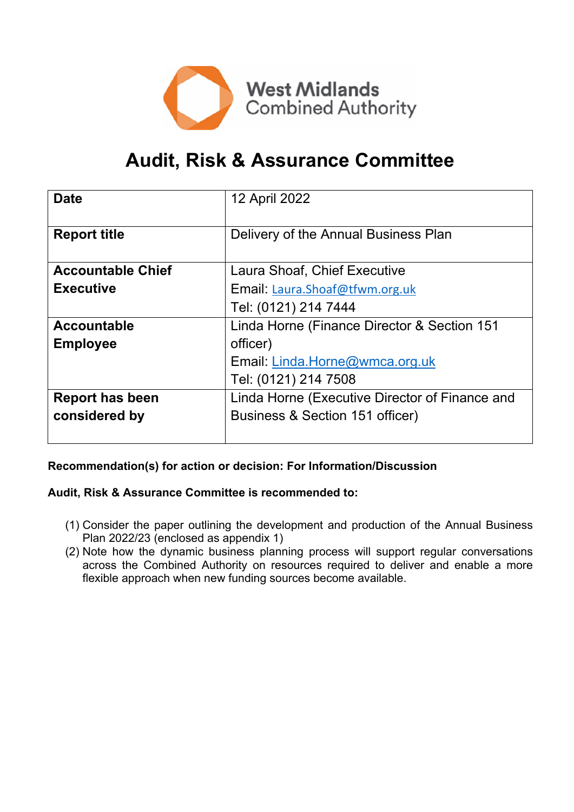

# **Audit, Risk & Assurance Committee**

| <b>Date</b>              | 12 April 2022                                  |
|--------------------------|------------------------------------------------|
| <b>Report title</b>      | Delivery of the Annual Business Plan           |
|                          |                                                |
| <b>Accountable Chief</b> | Laura Shoaf, Chief Executive                   |
| <b>Executive</b>         | Email: Laura.Shoaf@tfwm.org.uk                 |
|                          | Tel: (0121) 214 7444                           |
| <b>Accountable</b>       | Linda Horne (Finance Director & Section 151    |
| <b>Employee</b>          | officer)                                       |
|                          | Email: Linda.Horne@wmca.org.uk                 |
|                          | Tel: (0121) 214 7508                           |
| <b>Report has been</b>   | Linda Horne (Executive Director of Finance and |
| considered by            | Business & Section 151 officer)                |
|                          |                                                |

# **Recommendation(s) for action or decision: For Information/Discussion**

#### **Audit, Risk & Assurance Committee is recommended to:**

- (1) Consider the paper outlining the development and production of the Annual Business Plan 2022/23 (enclosed as appendix 1)
- (2) Note how the dynamic business planning process will support regular conversations across the Combined Authority on resources required to deliver and enable a more flexible approach when new funding sources become available.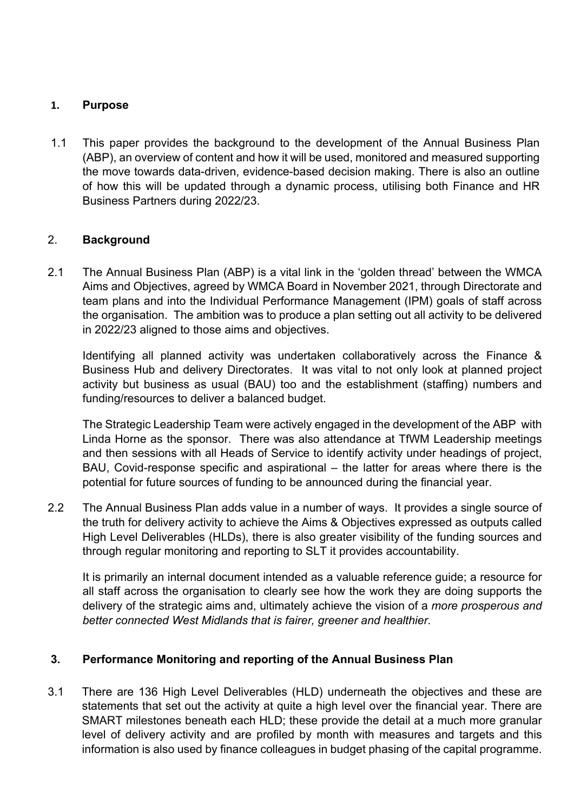### **1. Purpose**

1.1 This paper provides the background to the development of the Annual Business Plan (ABP), an overview of content and how it will be used, monitored and measured supporting the move towards data-driven, evidence-based decision making. There is also an outline of how this will be updated through a dynamic process, utilising both Finance and HR Business Partners during 2022/23.

# 2. **Background**

2.1 The Annual Business Plan (ABP) is a vital link in the 'golden thread' between the WMCA Aims and Objectives, agreed by WMCA Board in November 2021, through Directorate and team plans and into the Individual Performance Management (IPM) goals of staff across the organisation. The ambition was to produce a plan setting out all activity to be delivered in 2022/23 aligned to those aims and objectives.

Identifying all planned activity was undertaken collaboratively across the Finance & Business Hub and delivery Directorates. It was vital to not only look at planned project activity but business as usual (BAU) too and the establishment (staffing) numbers and funding/resources to deliver a balanced budget.

The Strategic Leadership Team were actively engaged in the development of the ABP with Linda Horne as the sponsor. There was also attendance at TfWM Leadership meetings and then sessions with all Heads of Service to identify activity under headings of project, BAU, Covid-response specific and aspirational – the latter for areas where there is the potential for future sources of funding to be announced during the financial year.

2.2 The Annual Business Plan adds value in a number of ways. It provides a single source of the truth for delivery activity to achieve the Aims & Objectives expressed as outputs called High Level Deliverables (HLDs), there is also greater visibility of the funding sources and through regular monitoring and reporting to SLT it provides accountability.

It is primarily an internal document intended as a valuable reference guide; a resource for all staff across the organisation to clearly see how the work they are doing supports the delivery of the strategic aims and, ultimately achieve the vision of a *more prosperous and better connected West Midlands that is fairer, greener and healthier.*

# **3. Performance Monitoring and reporting of the Annual Business Plan**

3.1 There are 136 High Level Deliverables (HLD) underneath the objectives and these are statements that set out the activity at quite a high level over the financial year. There are SMART milestones beneath each HLD; these provide the detail at a much more granular level of delivery activity and are profiled by month with measures and targets and this information is also used by finance colleagues in budget phasing of the capital programme.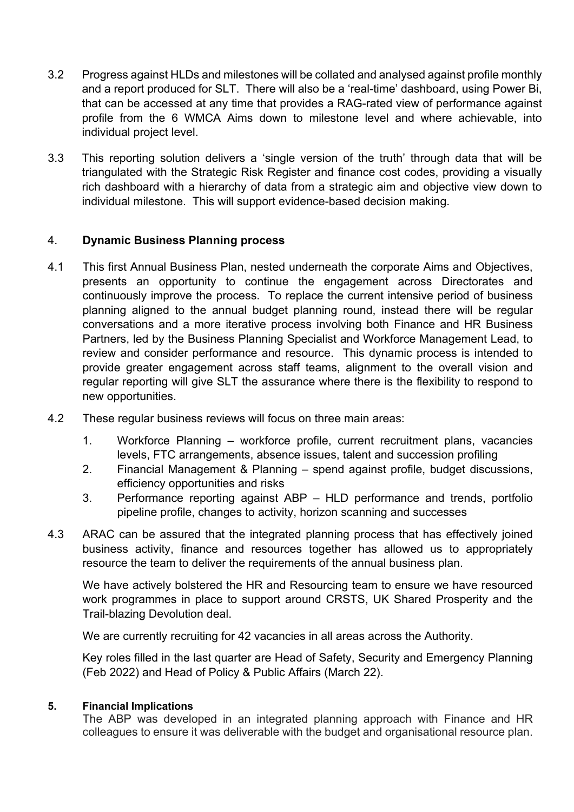- 3.2 Progress against HLDs and milestones will be collated and analysed against profile monthly and a report produced for SLT. There will also be a 'real-time' dashboard, using Power Bi, that can be accessed at any time that provides a RAG-rated view of performance against profile from the 6 WMCA Aims down to milestone level and where achievable, into individual project level.
- 3.3 This reporting solution delivers a 'single version of the truth' through data that will be triangulated with the Strategic Risk Register and finance cost codes, providing a visually rich dashboard with a hierarchy of data from a strategic aim and objective view down to individual milestone. This will support evidence-based decision making.

#### 4. **Dynamic Business Planning process**

- 4.1 This first Annual Business Plan, nested underneath the corporate Aims and Objectives, presents an opportunity to continue the engagement across Directorates and continuously improve the process. To replace the current intensive period of business planning aligned to the annual budget planning round, instead there will be regular conversations and a more iterative process involving both Finance and HR Business Partners, led by the Business Planning Specialist and Workforce Management Lead, to review and consider performance and resource. This dynamic process is intended to provide greater engagement across staff teams, alignment to the overall vision and regular reporting will give SLT the assurance where there is the flexibility to respond to new opportunities.
- 4.2 These regular business reviews will focus on three main areas:
	- 1. Workforce Planning workforce profile, current recruitment plans, vacancies levels, FTC arrangements, absence issues, talent and succession profiling
	- 2. Financial Management & Planning spend against profile, budget discussions, efficiency opportunities and risks
	- 3. Performance reporting against ABP HLD performance and trends, portfolio pipeline profile, changes to activity, horizon scanning and successes
- 4.3 ARAC can be assured that the integrated planning process that has effectively joined business activity, finance and resources together has allowed us to appropriately resource the team to deliver the requirements of the annual business plan.

We have actively bolstered the HR and Resourcing team to ensure we have resourced work programmes in place to support around CRSTS, UK Shared Prosperity and the Trail-blazing Devolution deal.

We are currently recruiting for 42 vacancies in all areas across the Authority.

Key roles filled in the last quarter are Head of Safety, Security and Emergency Planning (Feb 2022) and Head of Policy & Public Affairs (March 22).

#### **5. Financial Implications**

The ABP was developed in an integrated planning approach with Finance and HR colleagues to ensure it was deliverable with the budget and organisational resource plan.